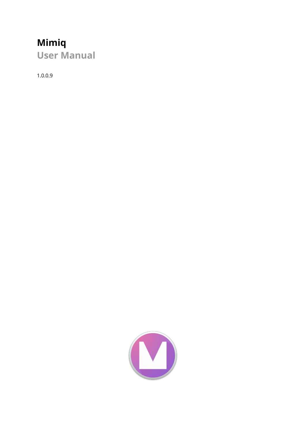# **Mimiq**

**User Manual**

1.0.0.9

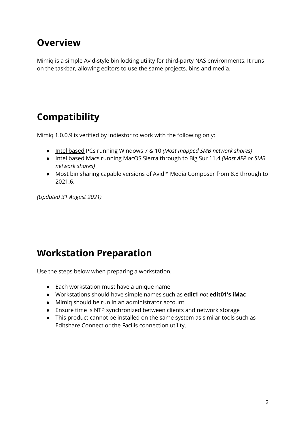### **Overview**

Mimiq is a simple Avid-style bin locking utility for third-party NAS environments. It runs on the taskbar, allowing editors to use the same projects, bins and media.

## **Compatibility**

Mimiq 1.0.0.9 is verified by indiestor to work with the following only:

- Intel based PCs running Windows 7 & 10 *(Most mapped SMB network shares)*
- Intel based Macs running MacOS Sierra through to Big Sur 11.4 *(Most AFP or SMB network shares)*
- Most bin sharing capable versions of Avid™ Media Composer from 8.8 through to 2021.6.

*(Updated 31 August 2021)*

### **Workstation Preparation**

Use the steps below when preparing a workstation.

- Each workstation must have a unique name
- Workstations should have simple names such as **edit1** *not* **edit01's iMac**
- Mimiq should be run in an administrator account
- Ensure time is NTP synchronized between clients and network storage
- This product cannot be installed on the same system as similar tools such as Editshare Connect or the Facilis connection utility.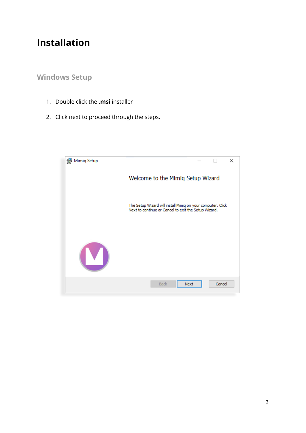### **Installation**

### **Windows Setup**

- 1. Double click the **.msi** installer
- 2. Click next to proceed through the steps.

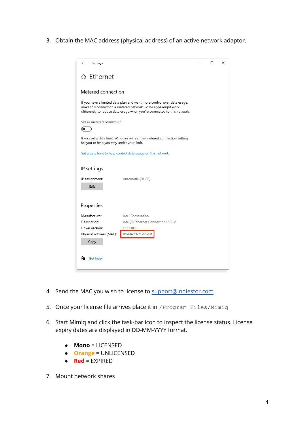3. Obtain the MAC address (physical address) of an active network adaptor.

| $\leftarrow$<br>Settings                                                                                                                                                                                          | □ | × |
|-------------------------------------------------------------------------------------------------------------------------------------------------------------------------------------------------------------------|---|---|
| ⋒ Ethernet                                                                                                                                                                                                        |   |   |
| Metered connection                                                                                                                                                                                                |   |   |
| If you have a limited data plan and want more control over data usage,<br>make this connection a metered network. Some apps might work<br>differently to reduce data usage when you're connected to this network. |   |   |
| Set as metered connection<br>(●                                                                                                                                                                                   |   |   |
| If you set a data limit, Windows will set the metered connection setting<br>for you to help you stay under your limit.                                                                                            |   |   |
| Set a data limit to help control data usage on this network                                                                                                                                                       |   |   |
| IP settings                                                                                                                                                                                                       |   |   |
| IP assignment:<br>Automatic (DHCP)<br>Edit                                                                                                                                                                        |   |   |
| Properties                                                                                                                                                                                                        |   |   |
| Manufacturer:<br>Intel Corporation<br>Description:<br>Intel(R) Ethernet Connection I219-V<br>Driver version:<br>12.17.10.8<br>B8-6B-23-21-86-C8<br>Physical address (MAC):<br>Copy                                |   |   |
| Get help                                                                                                                                                                                                          |   |   |

- 4. Send the MAC you wish to license to [support@indiestor.com](mailto:support@indiestor.com)
- 5. Once your license file arrives place it in /Program Files/Mimiq
- 6. Start Mimiq and click the task-bar icon to inspect the license status. License expiry dates are displayed in DD-MM-YYYY format.
	- **Mono** = LICENSED
	- **Orange** = UNLICENSED
	- **Red** = EXPIRED
- 7. Mount network shares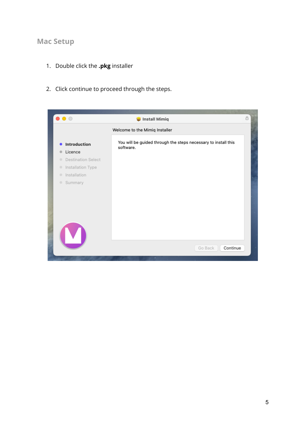#### **Mac Setup**

- 1. Double click the **.pkg** installer
- 2. Click continue to proceed through the steps.

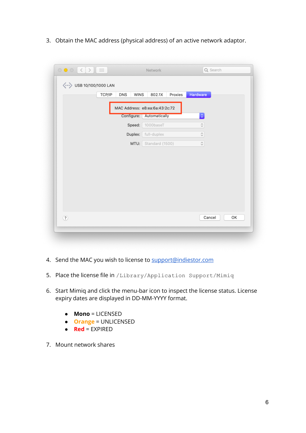3. Obtain the MAC address (physical address) of an active network adaptor.

| TCP/IP | <b>DNS</b><br><b>WINS</b> | 802.1X<br>Proxies                               | Hardware                                          |  |
|--------|---------------------------|-------------------------------------------------|---------------------------------------------------|--|
|        | Configure:                | MAC Address: e8:ea:6a:43:2c:72<br>Automatically | $\Diamond$                                        |  |
|        | Speed:                    | 1000baseT                                       | $\stackrel{\scriptstyle\wedge}{\scriptstyle\vee}$ |  |
|        | Duplex:                   | full-duplex                                     | $\hat{\mathcal{C}}$                               |  |
|        | MTU:                      | Standard (1500)                                 | $\mathop{^\diamondsuit}$                          |  |
|        |                           |                                                 |                                                   |  |
|        |                           |                                                 |                                                   |  |
|        |                           |                                                 |                                                   |  |
|        |                           |                                                 |                                                   |  |
|        |                           |                                                 |                                                   |  |
|        |                           |                                                 |                                                   |  |

- 4. Send the MAC you wish to license to [support@indiestor.com](mailto:support@indiestor.com)
- 5. Place the license file in /Library/Application Support/Mimiq
- 6. Start Mimiq and click the menu-bar icon to inspect the license status. License expiry dates are displayed in DD-MM-YYYY format.
	- **Mono** = LICENSED
	- **Orange** = UNLICENSED
	- **Red** = EXPIRED
- 7. Mount network shares